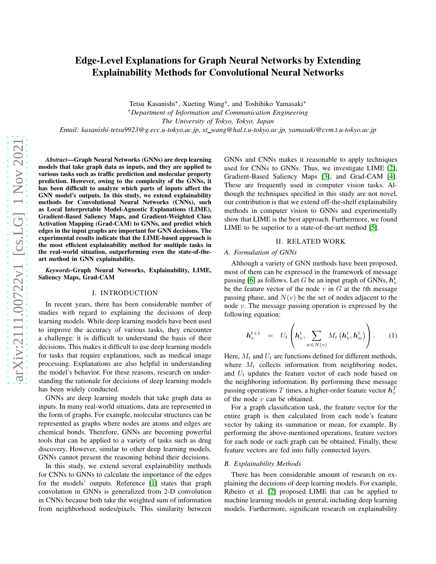# Edge-Level Explanations for Graph Neural Networks by Extending Explainability Methods for Convolutional Neural Networks

Tetsu Kasanishi<sup>∗</sup> , Xueting Wang<sup>∗</sup> , and Toshihiko Yamasaki<sup>∗</sup> <sup>∗</sup>*Department of Information and Communication Engineering The University of Tokyo, Tokyo, Japan Email: kasanishi-tetsu9923@g.ecc.u-tokyo.ac.jp, xt wang@hal.t.u-tokyo.ac.jp, yamasaki@cvm.t.u-tokyo.ac.jp*

*Abstract*—Graph Neural Networks (GNNs) are deep learning models that take graph data as inputs, and they are applied to various tasks such as traffic prediction and molecular property prediction. However, owing to the complexity of the GNNs, it has been difficult to analyze which parts of inputs affect the GNN model's outputs. In this study, we extend explainability methods for Convolutional Neural Networks (CNNs), such as Local Interpretable Model-Agnostic Explanations (LIME), Gradient-Based Saliency Maps, and Gradient-Weighted Class Activation Mapping (Grad-CAM) to GNNs, and predict which edges in the input graphs are important for GNN decisions. The experimental results indicate that the LIME-based approach is the most efficient explainability method for multiple tasks in the real-world situation, outperforming even the state-of-theart method in GNN explainability.

*Keywords*-Graph Neural Networks, Explainability, LIME, Saliency Maps, Grad-CAM

#### I. INTRODUCTION

In recent years, there has been considerable number of studies with regard to explaining the decisions of deep learning models. While deep learning models have been used to improve the accuracy of various tasks, they encounter a challenge: it is difficult to understand the basis of their decisions. This makes it difficult to use deep learning models for tasks that require explanations, such as medical image processing. Explanations are also helpful in understanding the model's behavior. For these reasons, research on understanding the rationale for decisions of deep learning models has been widely conducted.

GNNs are deep learning models that take graph data as inputs. In many real-world situations, data are represented in the form of graphs. For example, molecular structures can be represented as graphs where nodes are atoms and edges are chemical bonds. Therefore, GNNs are becoming powerful tools that can be applied to a variety of tasks such as drug discovery. However, similar to other deep learning models, GNNs cannot present the reasoning behind their decisions.

In this study, we extend several explainability methods for CNNs to GNNs to calculate the importance of the edges for the models' outputs. Reference [\[1\]](#page-3-0) states that graph convolution in GNNs is generalized from 2-D convolution in CNNs because both take the weighted sum of information from neighborhood nodes/pixels. This similarity between GNNs and CNNs makes it reasonable to apply techniques used for CNNs to GNNs. Thus, we investigate LIME [\[2\]](#page-3-1), Gradient-Based Saliency Maps [\[3\]](#page-3-2), and Grad-CAM [\[4\]](#page-3-3). These are frequently used in computer vision tasks. Although the techniques specified in this study are not novel, our contribution is that we extend off-the-shelf explainability methods in computer vision to GNNs and experimentally show that LIME is the best approach. Furthermore, we found LIME to be superior to a state-of-the-art method [\[5\]](#page-3-4).

## II. RELATED WORK

## *A. Formulation of GNNs*

Although a variety of GNN methods have been proposed, most of them can be expressed in the framework of message passing [\[6\]](#page-3-5) as follows. Let  $G$  be an input graph of GNNs,  $\boldsymbol{h}_v^t$ be the feature vector of the node  $v$  in  $G$  at the tth message passing phase, and  $N(v)$  be the set of nodes adjacent to the node v. The message passing operation is expressed by the following equation:

$$
\boldsymbol{h}_v^{t+1} = U_t \left( \boldsymbol{h}_v^t, \sum_{w \in N(v)} M_t \left( \boldsymbol{h}_v^t, \boldsymbol{h}_w^t \right) \right). \qquad (1)
$$

Here,  $M_t$  and  $U_t$  are functions defined for different methods, where  $M_t$  collects information from neighboring nodes, and  $U_t$  updates the feature vector of each node based on the neighboring information. By performing these message passing operations T times, a higher-order feature vector  $\overline{h}_v^T$ of the node  $v$  can be obtained.

For a graph classification task, the feature vector for the entire graph is then calculated from each node's feature vector by taking its summation or mean, for example. By performing the above-mentioned operations, feature vectors for each node or each graph can be obtained. Finally, these feature vectors are fed into fully connected layers.

#### *B. Explainability Methods*

There has been considerable amount of research on explaining the decisions of deep learning models. For example, Ribeiro et al. [\[2\]](#page-3-1) proposed LIME that can be applied to machine learning models in general, including deep learning models. Furthermore, significant research on explainability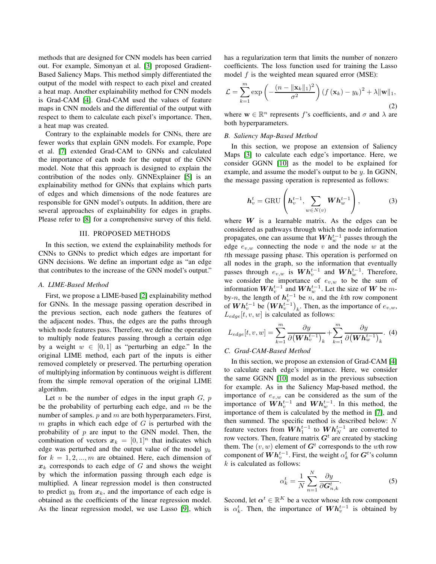methods that are designed for CNN models has been carried out. For example, Simonyan et al. [\[3\]](#page-3-2) proposed Gradient-Based Saliency Maps. This method simply differentiated the output of the model with respect to each pixel and created a heat map. Another explainability method for CNN models is Grad-CAM [\[4\]](#page-3-3). Grad-CAM used the values of feature maps in CNN models and the differential of the output with respect to them to calculate each pixel's importance. Then, a heat map was created.

Contrary to the explainable models for CNNs, there are fewer works that explain GNN models. For example, Pope et al. [\[7\]](#page-3-6) extended Grad-CAM to GNNs and calculated the importance of each node for the output of the GNN model. Note that this approach is designed to explain the contribution of the nodes only. GNNExplainer [\[5\]](#page-3-4) is an explainability method for GNNs that explains which parts of edges and which dimensions of the node features are responsible for GNN model's outputs. In addition, there are several approaches of explainability for edges in graphs. Please refer to [\[8\]](#page-3-7) for a comprehensive survey of this field.

#### III. PROPOSED METHODS

<span id="page-1-0"></span>In this section, we extend the explainability methods for CNNs to GNNs to predict which edges are important for GNN decisions. We define an important edge as "an edge that contributes to the increase of the GNN model's output."

## *A. LIME-Based Method*

First, we propose a LIME-based [\[2\]](#page-3-1) explainability method for GNNs. In the message passing operation described in the previous section, each node gathers the features of the adjacent nodes. Thus, the edges are the paths through which node features pass. Therefore, we define the operation to multiply node features passing through a certain edge by a weight  $w \in [0, 1]$  as "perturbing an edge." In the original LIME method, each part of the inputs is either removed completely or preserved. The perturbing operation of multiplying information by continuous weight is different from the simple removal operation of the original LIME algorithm.

Let *n* be the number of edges in the input graph  $G$ ,  $p$ be the probability of perturbing each edge, and  $m$  be the number of samples.  $p$  and  $m$  are both hyperparameters. First,  $m$  graphs in which each edge of  $G$  is perturbed with the probability of  $p$  are input to the GNN model. Then, the combination of vectors  $x_k = [0, 1]^n$  that indicates which edge was perturbed and the output value of the model  $y_k$ for  $k = 1, 2, ..., m$  are obtained. Here, each dimension of  $x_k$  corresponds to each edge of G and shows the weight by which the information passing through each edge is multiplied. A linear regression model is then constructed to predict  $y_k$  from  $x_k$ , and the importance of each edge is obtained as the coefficients of the linear regression model. As the linear regression model, we use Lasso [\[9\]](#page-3-8), which has a regularization term that limits the number of nonzero coefficients. The loss function used for training the Lasso model  $f$  is the weighted mean squared error (MSE):

$$
\mathcal{L} = \sum_{k=1}^{m} \exp\left(-\frac{(n - \|\mathbf{x}_k\|_1)^2}{\sigma^2}\right) \left(f\left(\mathbf{x}_k\right) - y_k\right)^2 + \lambda \|\mathbf{w}\|_1,
$$
\n(2)

where  $\mathbf{w} \in \mathbb{R}^n$  represents f's coefficients, and  $\sigma$  and  $\lambda$  are both hyperparameters.

## *B. Saliency Map-Based Method*

In this section, we propose an extension of Saliency Maps [\[3\]](#page-3-2) to calculate each edge's importance. Here, we consider GGNN [\[10\]](#page-3-9) as the model to be explained for example, and assume the model's output to be y. In GGNN, the message passing operation is represented as follows:

$$
\boldsymbol{h}_{v}^{t} = \text{GRU}\left(\boldsymbol{h}_{v}^{t-1}, \sum_{w \in N(v)} \boldsymbol{W} \boldsymbol{h}_{w}^{t-1}\right),\tag{3}
$$

where  $W$  is a learnable matrix. As the edges can be considered as pathways through which the node information propagates, one can assume that  $\boldsymbol{W}\boldsymbol{h}^{t-1}_w$  passes through the edge  $e_{v,w}$  connecting the node v and the node w at the tth message passing phase. This operation is performed on all nodes in the graph, so the information that eventually passes through  $e_{v,w}$  is  $\boldsymbol{Wh}^{t-1}_v$  and  $\boldsymbol{Wh}^{t-1}_w$ . Therefore, we consider the importance of  $e_{v,w}$  to be the sum of information  $\boldsymbol{W} \boldsymbol{h}_v^{t-1}$  and  $\boldsymbol{W} \boldsymbol{h}_w^{t-1}$ . Let the size of  $\boldsymbol{W}$  be mby-*n*, the length of  $h_v^{t-1}$  be *n*, and the *k*th row component of  $\boldsymbol{Wh}_v^{t-1}$  be  $(\boldsymbol{Wh}_v^{t-1})_k$ . Then, as the importance of  $e_{v,w}$ ,  $L_{edge}[t, v, w]$  is calculated as follows:

$$
L_{edge}[t, v, w] = \sum_{k=1}^{m} \frac{\partial y}{\partial (\boldsymbol{W} \boldsymbol{h}_v^{t-1})_k} + \sum_{k=1}^{m} \frac{\partial y}{\partial (\boldsymbol{W} \boldsymbol{h}_w^{t-1})_k}.
$$
 (4)

## *C. Grad-CAM-Based Method*

In this section, we propose an extension of Grad-CAM [\[4\]](#page-3-3) to calculate each edge's importance. Here, we consider the same GGNN [\[10\]](#page-3-9) model as in the previous subsection for example. As in the Saliency Map-based method, the importance of  $e_{v,w}$  can be considered as the sum of the importance of  $\boldsymbol{Wh}_v^{t-1}$  and  $\boldsymbol{Wh}_w^{t-1}$ . In this method, the importance of them is calculated by the method in [\[7\]](#page-3-6), and then summed. The specific method is described below: N feature vectors from  $\overline{Wh_1^{t-1}}$  to  $Wh_N^{t-1}$  are converted to row vectors. Then, feature matrix  $G<sup>t</sup>$  are created by stacking them. The  $(v, w)$  element of  $G<sup>t</sup>$  corresponds to the wth row component of  $\boldsymbol{W}\boldsymbol{h}_v^{t-1}.$  First, the weight  $\alpha_k^t$  for  $\boldsymbol{G}^t$ 's column  $k$  is calculated as follows:

$$
\alpha_k^t = \frac{1}{N} \sum_{n=1}^N \frac{\partial y}{\partial G_{n,k}^t}.
$$
 (5)

Second, let  $\boldsymbol{\alpha}^t \in \mathbb{R}^K$  be a vector whose kth row component is  $\alpha_k^t$ . Then, the importance of  $\boldsymbol{W}\boldsymbol{h}_v^{t-1}$  is obtained by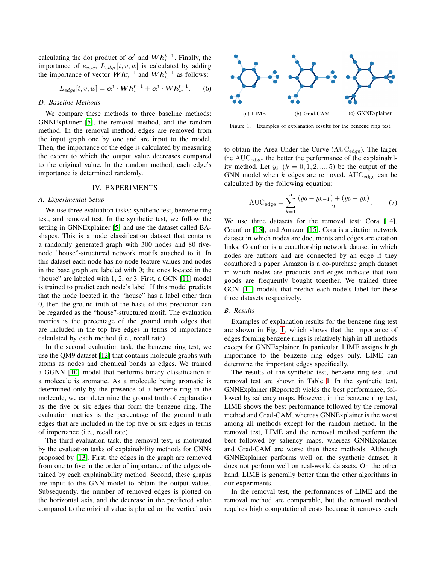calculating the dot product of  $\alpha^t$  and  $Wh_v^{t-1}$ . Finally, the importance of  $e_{v,w}$ ,  $L_{edge}[t, v, w]$  is calculated by adding the importance of vector  $\dot{W} h_v^{t-1}$  and  $W h_w^{t-1}$  as follows:

$$
L_{edge}[t, v, w] = \alpha^t \cdot \boldsymbol{W} \boldsymbol{h}_v^{t-1} + \alpha^t \cdot \boldsymbol{W} \boldsymbol{h}_w^{t-1}.
$$
 (6)

#### *D. Baseline Methods*

We compare these methods to three baseline methods: GNNExplainer [\[5\]](#page-3-4), the removal method, and the random method. In the removal method, edges are removed from the input graph one by one and are input to the model. Then, the importance of the edge is calculated by measuring the extent to which the output value decreases compared to the original value. In the random method, each edge's importance is determined randomly.

## IV. EXPERIMENTS

## *A. Experimental Setup*

We use three evaluation tasks: synthetic test, benzene ring test, and removal test. In the synthetic test, we follow the setting in GNNExplainer [\[5\]](#page-3-4) and use the dataset called BAshapes. This is a node classification dataset that contains a randomly generated graph with 300 nodes and 80 fivenode "house"-structured network motifs attached to it. In this dataset each node has no node feature values and nodes in the base graph are labeled with 0; the ones located in the "house" are labeled with 1, 2, or 3. First, a GCN [\[11\]](#page-3-10) model is trained to predict each node's label. If this model predicts that the node located in the "house" has a label other than 0, then the ground truth of the basis of this prediction can be regarded as the "house"-structured motif. The evaluation metrics is the percentage of the ground truth edges that are included in the top five edges in terms of importance calculated by each method (i.e., recall rate).

In the second evaluation task, the benzene ring test, we use the QM9 dataset [\[12\]](#page-3-11) that contains molecule graphs with atoms as nodes and chemical bonds as edges. We trained a GGNN [\[10\]](#page-3-9) model that performs binary classification if a molecule is aromatic. As a molecule being aromatic is determined only by the presence of a benzene ring in the molecule, we can determine the ground truth of explanation as the five or six edges that form the benzene ring. The evaluation metrics is the percentage of the ground truth edges that are included in the top five or six edges in terms of importance (i.e., recall rate).

The third evaluation task, the removal test, is motivated by the evaluation tasks of explainability methods for CNNs proposed by [\[13\]](#page-3-12). First, the edges in the graph are removed from one to five in the order of importance of the edges obtained by each explainability method. Second, these graphs are input to the GNN model to obtain the output values. Subsequently, the number of removed edges is plotted on the horizontal axis, and the decrease in the predicted value compared to the original value is plotted on the vertical axis



<span id="page-2-0"></span>Figure 1. Examples of explanation results for the benzene ring test.

to obtain the Area Under the Curve  $(AUC_{edge})$ . The larger the AUCedge, the better the performance of the explainability method. Let  $y_k$   $(k = 0, 1, 2, ..., 5)$  be the output of the GNN model when  $k$  edges are removed. AUC<sub>edge</sub> can be calculated by the following equation:

$$
AUC_{\text{edge}} = \sum_{k=1}^{5} \frac{(y_0 - y_{k-1}) + (y_0 - y_k)}{2}.
$$
 (7)

We use three datasets for the removal test: Cora [\[14\]](#page-3-13), Coauthor [\[15\]](#page-3-14), and Amazon [\[15\]](#page-3-14). Cora is a citation network dataset in which nodes are documents and edges are citation links. Coauthor is a coauthorship network dataset in which nodes are authors and are connected by an edge if they coauthored a paper. Amazon is a co-purchase graph dataset in which nodes are products and edges indicate that two goods are frequently bought together. We trained three GCN [\[11\]](#page-3-10) models that predict each node's label for these three datasets respectively.

#### *B. Results*

Examples of explanation results for the benzene ring test are shown in Fig. [1,](#page-2-0) which shows that the importance of edges forming benzene rings is relatively high in all methods except for GNNExplainer. In particular, LIME assigns high importance to the benzene ring edges only. LIME can determine the important edges specifically.

The results of the synthetic test, benzene ring test, and removal test are shown in Table [I.](#page-3-15) In the synthetic test, GNNExplainer (Reported) yields the best performance, followed by saliency maps. However, in the benzene ring test, LIME shows the best performance followed by the removal method and Grad-CAM, whereas GNNExplainer is the worst among all methods except for the random method. In the removal test, LIME and the removal method perform the best followed by saliency maps, whereas GNNExplainer and Grad-CAM are worse than these methods. Although GNNExplainer performs well on the synthetic dataset, it does not perform well on real-world datasets. On the other hand, LIME is generally better than the other algorithms in our experiments.

In the removal test, the performances of LIME and the removal method are comparable, but the removal method requires high computational costs because it removes each